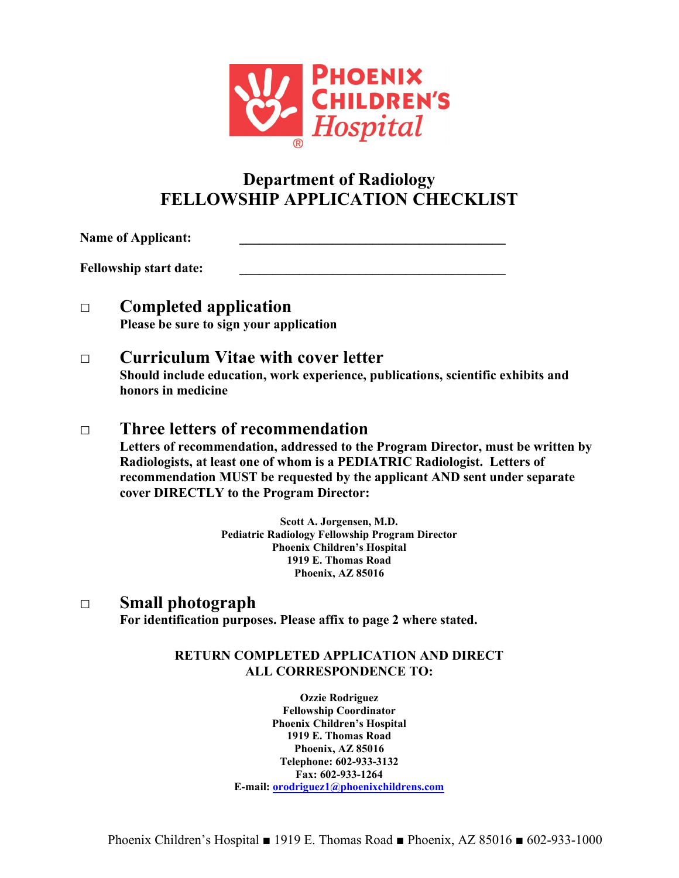

# **Department of Radiology FELLOWSHIP APPLICATION CHECKLIST**

Name of Applicant:

**Fellowship start date: \_\_\_\_\_\_\_\_\_\_\_\_\_\_\_\_\_\_\_\_\_\_\_\_\_\_\_\_\_\_\_\_\_\_\_\_\_\_\_\_**

### **□ Completed application Please be sure to sign your application**

### **□ Curriculum Vitae with cover letter**

**Should include education, work experience, publications, scientific exhibits and honors in medicine**

## **□ Three letters of recommendation**

**Letters of recommendation, addressed to the Program Director, must be written by Radiologists, at least one of whom is a PEDIATRIC Radiologist. Letters of recommendation MUST be requested by the applicant AND sent under separate cover DIRECTLY to the Program Director:**

> **Scott A. Jorgensen, M.D. Pediatric Radiology Fellowship Program Director Phoenix Children's Hospital 1919 E. Thomas Road Phoenix, AZ 85016**

### **□ Small photograph**

**For identification purposes. Please affix to page 2 where stated.**

#### **RETURN COMPLETED APPLICATION AND DIRECT ALL CORRESPONDENCE TO:**

**Ozzie Rodriguez Fellowship Coordinator Phoenix Children's Hospital 1919 E. Thomas Road Phoenix, AZ 85016 Telephone: 602-933-3132 Fax: 602-933-1264 E-mail: [orodriguez1@phoenixchildrens.com](mailto:orodriguez1@phoenixchildrens.com)**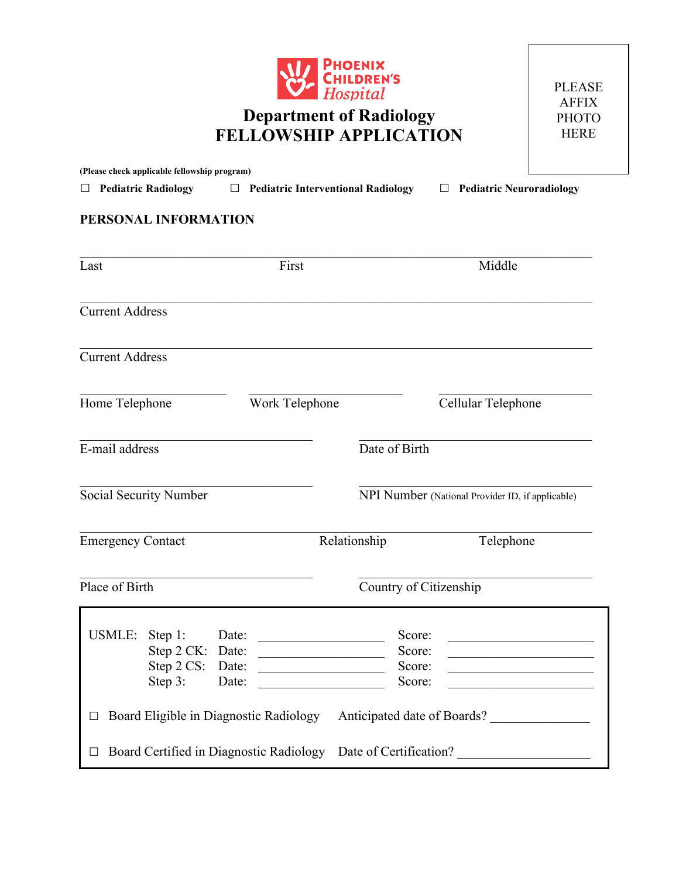

## **Department of Radiology FELLOWSHIP APPLICATION**

PLEASE AFFIX PHOTO HERE

| (Please check applicable fellowship program)                       |                                                                  |                                      |                                                  |
|--------------------------------------------------------------------|------------------------------------------------------------------|--------------------------------------|--------------------------------------------------|
| Pediatric Radiology □ Pediatric Interventional Radiology<br>$\Box$ |                                                                  |                                      | $\Box$ Pediatric Neuroradiology                  |
| PERSONAL INFORMATION                                               |                                                                  |                                      |                                                  |
| Last                                                               | First                                                            |                                      | Middle                                           |
| <b>Current Address</b>                                             |                                                                  |                                      |                                                  |
| <b>Current Address</b>                                             |                                                                  |                                      |                                                  |
| Home Telephone                                                     | Work Telephone                                                   |                                      | Cellular Telephone                               |
| E-mail address                                                     |                                                                  | Date of Birth                        |                                                  |
| Social Security Number                                             |                                                                  |                                      | NPI Number (National Provider ID, if applicable) |
| <b>Emergency Contact</b>                                           |                                                                  | Relationship                         | Telephone                                        |
| Place of Birth                                                     |                                                                  | Country of Citizenship               |                                                  |
| USMLE:<br>Step 1:<br>Step 2 CK: Date:<br>Step 2 CS:<br>Step 3:     | Date:<br>Date:<br><u> 1990 - Johann Barbara, martxa</u><br>Date: | Score:<br>Score:<br>Score:<br>Score: |                                                  |
| Board Eligible in Diagnostic Radiology                             |                                                                  |                                      | Anticipated date of Boards?                      |
| Board Certified in Diagnostic Radiology                            |                                                                  | Date of Certification?               |                                                  |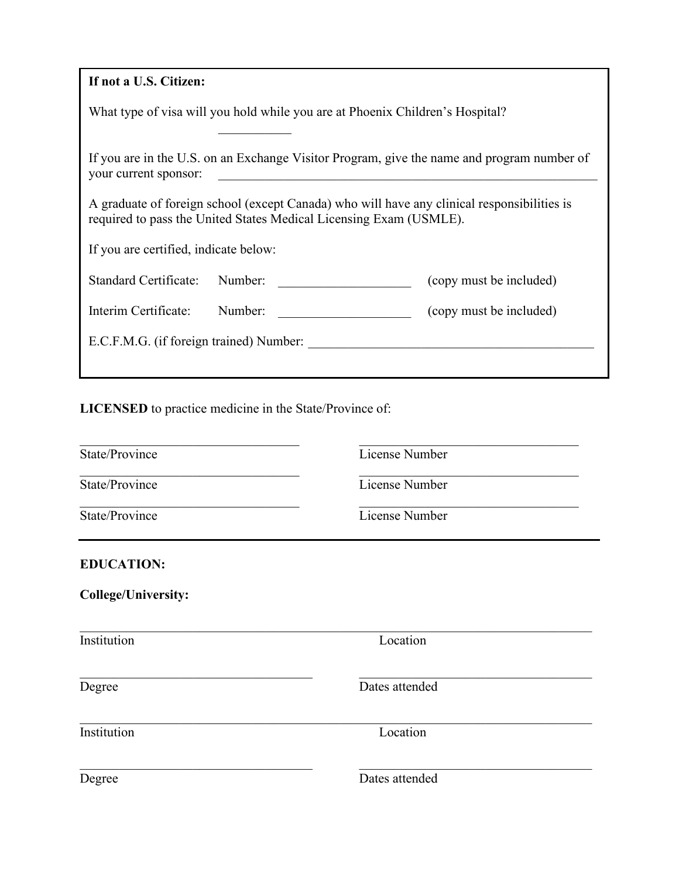| If not a U.S. Citizen:                                                                                                                                            |                         |  |  |
|-------------------------------------------------------------------------------------------------------------------------------------------------------------------|-------------------------|--|--|
| What type of visa will you hold while you are at Phoenix Children's Hospital?                                                                                     |                         |  |  |
| If you are in the U.S. on an Exchange Visitor Program, give the name and program number of<br>your current sponsor:                                               |                         |  |  |
| A graduate of foreign school (except Canada) who will have any clinical responsibilities is<br>required to pass the United States Medical Licensing Exam (USMLE). |                         |  |  |
| If you are certified, indicate below:                                                                                                                             |                         |  |  |
| Standard Certificate: Number:<br><u> 1980 - John Stein, mars and de Brandenburg (b. 1980)</u>                                                                     | (copy must be included) |  |  |
| Interim Certificate:<br>Number:                                                                                                                                   | (copy must be included) |  |  |
| E.C.F.M.G. (if foreign trained) Number:                                                                                                                           |                         |  |  |
|                                                                                                                                                                   |                         |  |  |

## **LICENSED** to practice medicine in the State/Province of:

| State/Province             |                | License Number |  |
|----------------------------|----------------|----------------|--|
| State/Province             | License Number |                |  |
| State/Province             | License Number |                |  |
| <b>EDUCATION:</b>          |                |                |  |
| <b>College/University:</b> |                |                |  |
| Institution                | Location       |                |  |
| Degree                     | Dates attended |                |  |
| Institution                | Location       |                |  |
| Degree                     | Dates attended |                |  |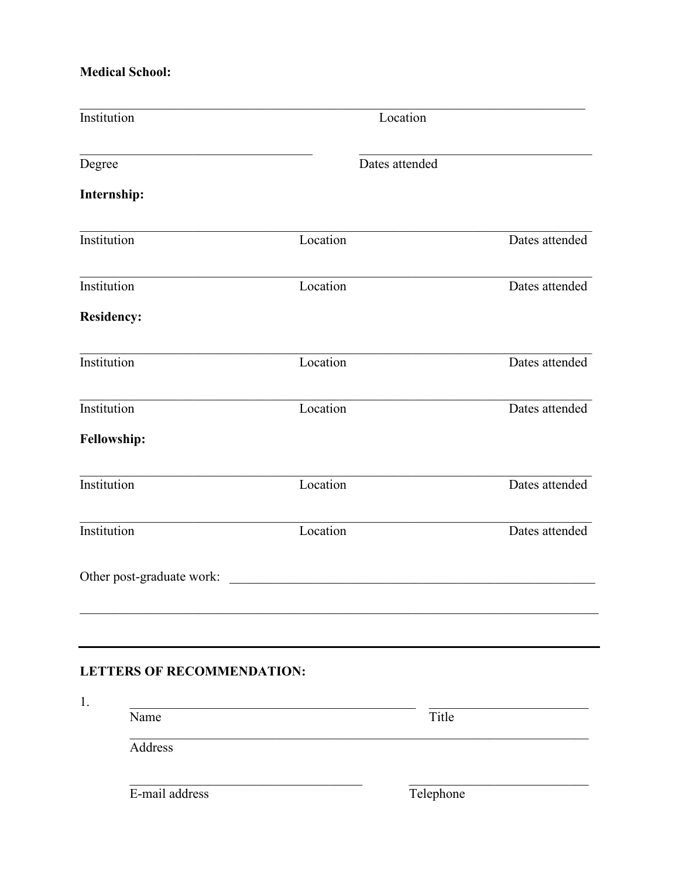### **Medical School:**

| Institution                       |          | Location       |
|-----------------------------------|----------|----------------|
| Degree                            |          | Dates attended |
| Internship:                       |          |                |
| Institution                       | Location | Dates attended |
| Institution                       | Location | Dates attended |
| <b>Residency:</b>                 |          |                |
| Institution                       | Location | Dates attended |
| Institution                       | Location | Dates attended |
| Fellowship:                       |          |                |
| Institution                       | Location | Dates attended |
| Institution                       | Location | Dates attended |
| Other post-graduate work:         |          |                |
|                                   |          |                |
| <b>LETTERS OF RECOMMENDATION:</b> |          |                |
| 1.<br>Name                        |          | Title          |
| Address                           |          |                |
| E-mail address                    |          | Telephone      |